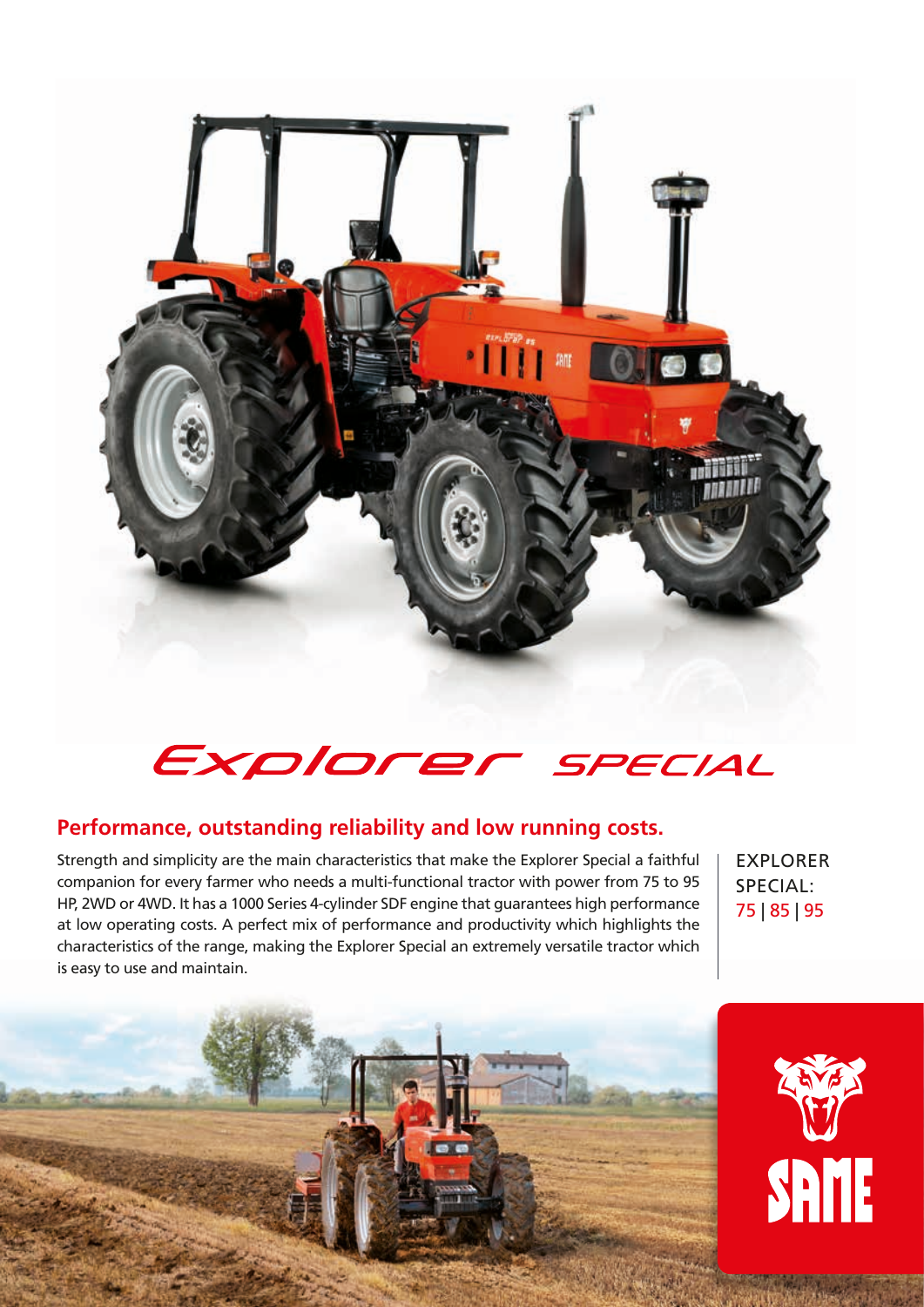

## Explorer SPECIAL

## **Performance, outstanding reliability and low running costs.**

Strength and simplicity are the main characteristics that make the Explorer Special a faithful companion for every farmer who needs a multi-functional tractor with power from 75 to 95 HP, 2WD or 4WD. It has a 1000 Series 4-cylinder SDF engine that guarantees high performance at low operating costs. A perfect mix of performance and productivity which highlights the characteristics of the range, making the Explorer Special an extremely versatile tractor which is easy to use and maintain.

EXPLORER SPECIAL: 75 | 85 | 95